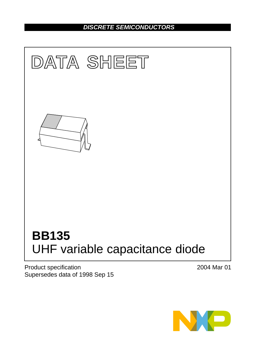# *DISCRETE SEMICONDUCTORS*



Product specification Supersedes data of 1998 Sep 15 2004 Mar 01

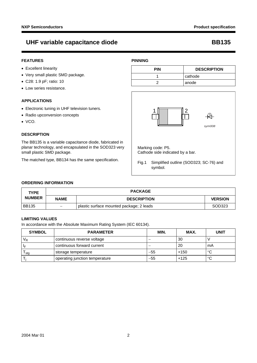*sym008*

## UHF variable capacitance diode **BB135**

### **FEATURES**

- Excellent linearity
- Very small plastic SMD package.
- C28: 1.9 pF; ratio: 10
- Low series resistance.

### **APPLICATIONS**

- Electronic tuning in UHF television tuners.
- Radio upconversion concepts
- VCO.

### **DESCRIPTION**

The BB135 is a variable capacitance diode, fabricated in planar technology, and encapsulated in the SOD323 very small plastic SMD package.

The matched type, BB134 has the same specification.

### **PINNING**

| <b>PIN</b> | <b>DESCRIPTION</b> |
|------------|--------------------|
|            | cathode            |
|            | anode              |

т



1 2

Fig.1 Simplified outline (SOD323; SC-76) and symbol.

### **ORDERING INFORMATION**

| <b>TYPE</b>   | <b>PACKAGE</b>           |                                          |                |
|---------------|--------------------------|------------------------------------------|----------------|
| <b>NUMBER</b> | <b>NAME</b>              | <b>DESCRIPTION</b>                       | <b>VERSION</b> |
| <b>BB135</b>  | $\overline{\phantom{m}}$ | plastic surface mounted package; 2 leads | SOD323         |

### **LIMITING VALUES**

In accordance with the Absolute Maximum Rating System (IEC 60134).

| <b>SYMBOL</b> | <b>PARAMETER</b>               | <b>MIN</b> | MAX.   | <b>UNIT</b> |  |
|---------------|--------------------------------|------------|--------|-------------|--|
| $V_R$         | continuous reverse voltage     |            | 30     |             |  |
| -le           | I continuous forward current   |            | 20     | mA          |  |
| stg           | storage temperature            | $-55$      | $+150$ | °C          |  |
|               | operating junction temperature | $-55$      | $+125$ | °C          |  |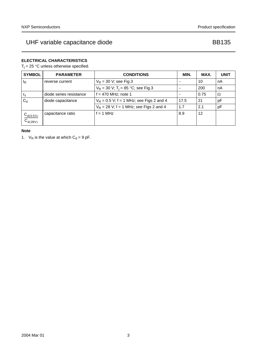## **ELECTRICAL CHARACTERISTICS**

 $T_j = 25$  °C unless otherwise specified.

| <b>SYMBOL</b>                    | <b>PARAMETER</b>        | <b>CONDITIONS</b>                               | MIN. | MAX. | <b>UNIT</b> |
|----------------------------------|-------------------------|-------------------------------------------------|------|------|-------------|
| $I_R$                            | reverse current         | $V_R$ = 30 V; see Fig.3                         |      | 10   | nA          |
|                                  |                         | $V_R$ = 30 V; T <sub>i</sub> = 85 °C; see Fig.3 |      | 200  | nA          |
| $r_{\rm s}$                      | diode series resistance | $f = 470$ MHz; note 1                           |      | 0.75 | Ω           |
| $C_d$                            | diode capacitance       | $V_R$ = 0.5 V; f = 1 MHz; see Figs 2 and 4      | 17.5 | -21  | рF          |
|                                  |                         | $V_R$ = 28 V; f = 1 MHz; see Figs 2 and 4       | 1.7  | 2.1  | рF          |
| $\frac{C_{d(0.5V)}}{C_{d(28V)}}$ | capacitance ratio       | $f = 1$ MHz                                     | 8.9  | 12   |             |

### **Note**

<span id="page-2-0"></span>1.  $V_R$  is the value at which  $C_d = 9$  pF.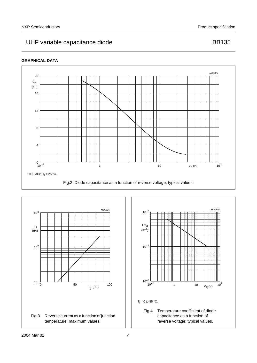### **GRAPHICAL DATA**



<span id="page-3-1"></span><span id="page-3-0"></span>

<span id="page-3-2"></span>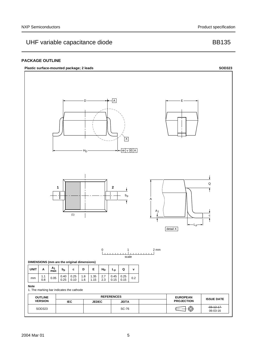# UHF variable capacitance diode and a set of the BB135

### **PACKAGE OUTLINE**

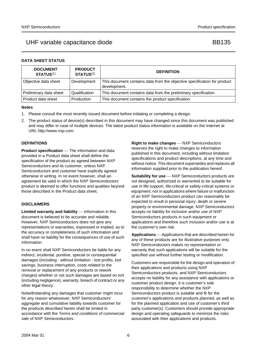### **DATA SHEET STATUS**

| <b>DOCUMENT</b><br><b>STATUS(1)</b> | <b>PRODUCT</b><br><b>STATUS(2)</b> | <b>DEFINITION</b>                                                                        |
|-------------------------------------|------------------------------------|------------------------------------------------------------------------------------------|
| Objective data sheet                | Development                        | This document contains data from the objective specification for product<br>development. |
| Preliminary data sheet              | Qualification                      | This document contains data from the preliminary specification.                          |
| Product data sheet                  | Production                         | This document contains the product specification.                                        |

### **Notes**

- <span id="page-5-0"></span>1. Please consult the most recently issued document before initiating or completing a design.
- <span id="page-5-1"></span>2. The product status of device(s) described in this document may have changed since this document was published and may differ in case of multiple devices. The latest product status information is available on the Internet at URL http://www.nxp.com.

### **DEFINITIONS**

**Product specification** — The information and data provided in a Product data sheet shall define the specification of the product as agreed between NXP Semiconductors and its customer, unless NXP Semiconductors and customer have explicitly agreed otherwise in writing. In no event however, shall an agreement be valid in which the NXP Semiconductors product is deemed to offer functions and qualities beyond those described in the Product data sheet.

### **DISCLAIMERS**

Limited warranty and liability - Information in this document is believed to be accurate and reliable. However, NXP Semiconductors does not give any representations or warranties, expressed or implied, as to the accuracy or completeness of such information and shall have no liability for the consequences of use of such information.

In no event shall NXP Semiconductors be liable for any indirect, incidental, punitive, special or consequential damages (including - without limitation - lost profits, lost savings, business interruption, costs related to the removal or replacement of any products or rework charges) whether or not such damages are based on tort (including negligence), warranty, breach of contract or any other legal theory.

Notwithstanding any damages that customer might incur for any reason whatsoever, NXP Semiconductors' aggregate and cumulative liability towards customer for the products described herein shall be limited in accordance with the *Terms and conditions of commercial sale* of NXP Semiconductors.

**Right to make changes** - NXP Semiconductors reserves the right to make changes to information published in this document, including without limitation specifications and product descriptions, at any time and without notice. This document supersedes and replaces all information supplied prior to the publication hereof.

**Suitability for use** - NXP Semiconductors products are not designed, authorized or warranted to be suitable for use in life support, life-critical or safety-critical systems or equipment, nor in applications where failure or malfunction of an NXP Semiconductors product can reasonably be expected to result in personal injury, death or severe property or environmental damage. NXP Semiconductors accepts no liability for inclusion and/or use of NXP Semiconductors products in such equipment or applications and therefore such inclusion and/or use is at the customer's own risk.

**Applications** — Applications that are described herein for any of these products are for illustrative purposes only. NXP Semiconductors makes no representation or warranty that such applications will be suitable for the specified use without further testing or modification.

Customers are responsible for the design and operation of their applications and products using NXP Semiconductors products, and NXP Semiconductors accepts no liability for any assistance with applications or customer product design. It is customer's sole responsibility to determine whether the NXP Semiconductors product is suitable and fit for the customer's applications and products planned, as well as for the planned application and use of customer's third party customer(s). Customers should provide appropriate design and operating safeguards to minimize the risks associated with their applications and products.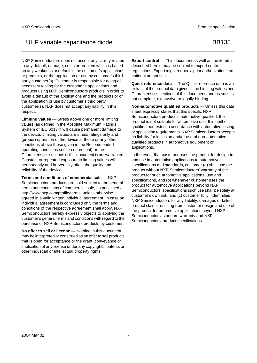NXP Semiconductors does not accept any liability related to any default, damage, costs or problem which is based on any weakness or default in the customer's applications or products, or the application or use by customer's third party customer(s). Customer is responsible for doing all necessary testing for the customer's applications and products using NXP Semiconductors products in order to avoid a default of the applications and the products or of the application or use by customer's third party customer(s). NXP does not accept any liability in this respect.

Limiting values Stress above one or more limiting values (as defined in the Absolute Maximum Ratings System of IEC 60134) will cause permanent damage to the device. Limiting values are stress ratings only and (proper) operation of the device at these or any other conditions above those given in the Recommended operating conditions section (if present) or the Characteristics sections of this document is not warranted. Constant or repeated exposure to limiting values will permanently and irreversibly affect the quality and reliability of the device.

**Terms and conditions of commercial sale – NXP** Semiconductors products are sold subject to the general terms and conditions of commercial sale, as published at http://www.nxp.com/profile/terms, unless otherwise agreed in a valid written individual agreement. In case an individual agreement is concluded only the terms and conditions of the respective agreement shall apply. NXP Semiconductors hereby expressly objects to applying the customer's general terms and conditions with regard to the purchase of NXP Semiconductors products by customer.

**No offer to sell or license** — Nothing in this document may be interpreted or construed as an offer to sell products that is open for acceptance or the grant, conveyance or implication of any license under any copyrights, patents or other industrial or intellectual property rights.

**Export control** — This document as well as the item(s) described herein may be subject to export control regulations. Export might require a prior authorization from national authorities.

**Quick reference data** — The Quick reference data is an extract of the product data given in the Limiting values and Characteristics sections of this document, and as such is not complete, exhaustive or legally binding.

**Non-automotive qualified products** - Unless this data sheet expressly states that this specific NXP Semiconductors product is automotive qualified, the product is not suitable for automotive use. It is neither qualified nor tested in accordance with automotive testing or application requirements. NXP Semiconductors accepts no liability for inclusion and/or use of non-automotive qualified products in automotive equipment or applications.

In the event that customer uses the product for design-in and use in automotive applications to automotive specifications and standards, customer (a) shall use the product without NXP Semiconductors' warranty of the product for such automotive applications, use and specifications, and (b) whenever customer uses the product for automotive applications beyond NXP Semiconductors' specifications such use shall be solely at customer's own risk, and (c) customer fully indemnifies NXP Semiconductors for any liability, damages or failed product claims resulting from customer design and use of the product for automotive applications beyond NXP Semiconductors' standard warranty and NXP Semiconductors' product specifications.